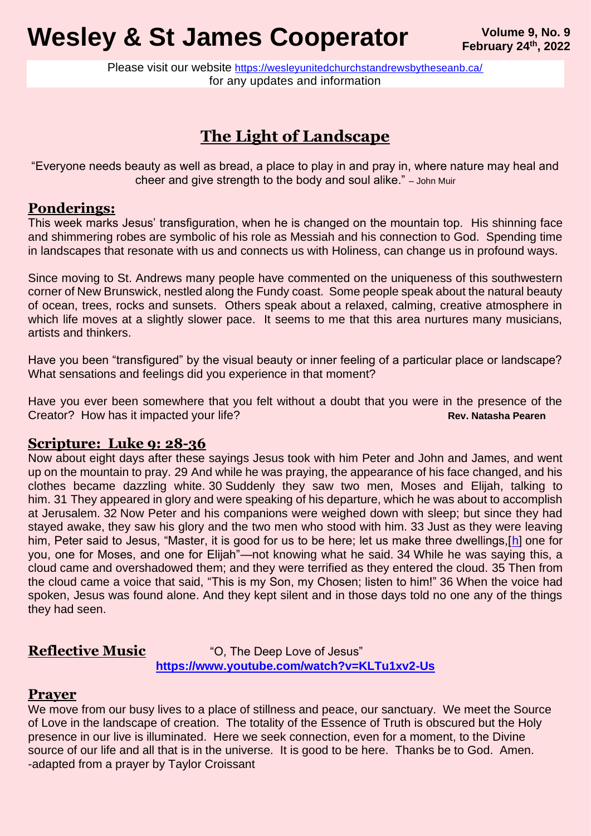# **Wesley & St James Cooperator** *Volume 9, No. 9* Volume 9, No. 9

Please visit our website <https://wesleyunitedchurchstandrewsbytheseanb.ca/> for any updates and information

## **The Light of Landscape**

"Everyone needs beauty as well as bread, a place to play in and pray in, where nature may heal and cheer and give strength to the body and soul alike." – John Muir

### **Ponderings:**

This week marks Jesus' transfiguration, when he is changed on the mountain top. His shinning face and shimmering robes are symbolic of his role as Messiah and his connection to God. Spending time in landscapes that resonate with us and connects us with Holiness, can change us in profound ways.

Since moving to St. Andrews many people have commented on the uniqueness of this southwestern corner of New Brunswick, nestled along the Fundy coast. Some people speak about the natural beauty of ocean, trees, rocks and sunsets. Others speak about a relaxed, calming, creative atmosphere in which life moves at a slightly slower pace. It seems to me that this area nurtures many musicians, artists and thinkers.

Have you been "transfigured" by the visual beauty or inner feeling of a particular place or landscape? What sensations and feelings did you experience in that moment?

Have you ever been somewhere that you felt without a doubt that you were in the presence of the Creator? How has it impacted your life? **Rev. Natasha Pearen** Rev. Natasha Pearen

#### **Scripture: Luke 9: 28-36**

Now about eight days after these sayings Jesus took with him Peter and John and James, and went up on the mountain to pray. 29 And while he was praying, the appearance of his face changed, and his clothes became dazzling white. 30 Suddenly they saw two men, Moses and Elijah, talking to him. 31 They appeared in glory and were speaking of his departure, which he was about to accomplish at Jerusalem. 32 Now Peter and his companions were weighed down with sleep; but since they had stayed awake, they saw his glory and the two men who stood with him. 33 Just as they were leaving him, Peter said to Jesus, "Master, it is good for us to be here; let us make three dwellings, [\[h\]](https://www.biblegateway.com/passage/?search=Luke+9&version=NRSV#fen-NRSV-25327h) one for you, one for Moses, and one for Elijah"—not knowing what he said. 34 While he was saying this, a cloud came and overshadowed them; and they were terrified as they entered the cloud. 35 Then from the cloud came a voice that said, "This is my Son, my Chosen; listen to him!" 36 When the voice had spoken, Jesus was found alone. And they kept silent and in those days told no one any of the things they had seen.

#### **Reflective Music** "O, The Deep Love of Jesus" **<https://www.youtube.com/watch?v=KLTu1xv2-Us>**

#### **Prayer**

We move from our busy lives to a place of stillness and peace, our sanctuary. We meet the Source of Love in the landscape of creation. The totality of the Essence of Truth is obscured but the Holy presence in our live is illuminated. Here we seek connection, even for a moment, to the Divine source of our life and all that is in the universe. It is good to be here. Thanks be to God. Amen. -adapted from a prayer by Taylor Croissant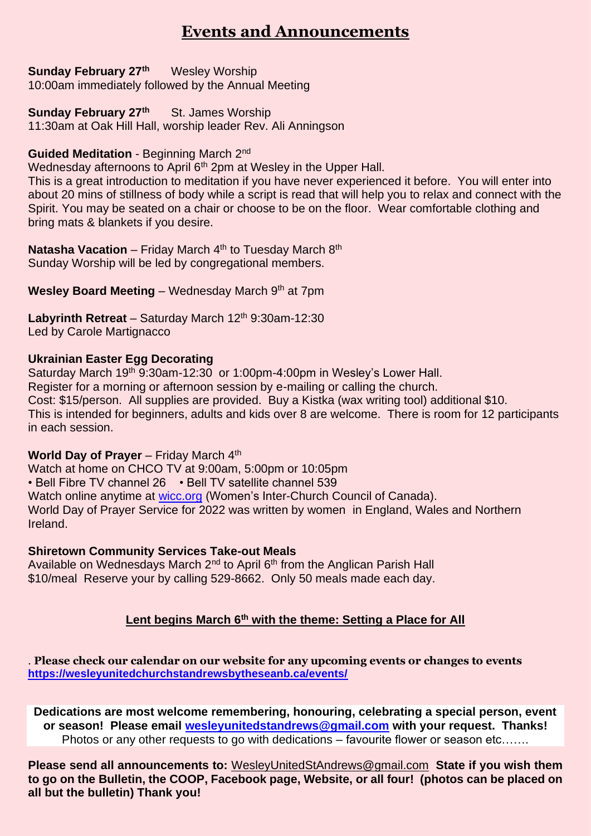## **Events and Announcements**

#### **Sunday February 27th** Wesley Worship

10:00am immediately followed by the Annual Meeting

#### **Sunday February 27th** St. James Worship

11:30am at Oak Hill Hall, worship leader Rev. Ali Anningson

#### **Guided Meditation** - Beginning March 2nd

Wednesday afternoons to April 6<sup>th</sup> 2pm at Wesley in the Upper Hall.

This is a great introduction to meditation if you have never experienced it before. You will enter into about 20 mins of stillness of body while a script is read that will help you to relax and connect with the Spirit. You may be seated on a chair or choose to be on the floor. Wear comfortable clothing and bring mats & blankets if you desire.

**Natasha Vacation** – Friday March 4<sup>th</sup> to Tuesday March 8<sup>th</sup> Sunday Worship will be led by congregational members.

**Wesley Board Meeting** – Wednesday March 9th at 7pm

Labyrinth Retreat - Saturday March 12<sup>th</sup> 9:30am-12:30 Led by Carole Martignacco

#### **Ukrainian Easter Egg Decorating**

Saturday March 19<sup>th</sup> 9:30am-12:30 or 1:00pm-4:00pm in Wesley's Lower Hall. Register for a morning or afternoon session by e-mailing or calling the church. Cost: \$15/person. All supplies are provided. Buy a Kistka (wax writing tool) additional \$10. This is intended for beginners, adults and kids over 8 are welcome. There is room for 12 participants in each session.

#### **World Day of Prayer** – Friday March 4<sup>th</sup>

Watch at home on CHCO TV at 9:00am, 5:00pm or 10:05pm • Bell Fibre TV channel 26 • Bell TV satellite channel 539 Watch online anytime at [wicc.org](https://webmail.bellaliant.net/bell/wicc.org) (Women's Inter-Church Council of Canada). World Day of Prayer Service for 2022 was written by women in England, Wales and Northern Ireland.

#### **Shiretown Community Services Take-out Meals**

Available on Wednesdays March 2<sup>nd</sup> to April 6<sup>th</sup> from the Anglican Parish Hall \$10/meal Reserve your by calling 529-8662. Only 50 meals made each day.

#### **Lent begins March 6th with the theme: Setting a Place for All**

. **Please check our calendar on our website for any upcoming events or changes to events <https://wesleyunitedchurchstandrewsbytheseanb.ca/events/>**

**Dedications are most welcome remembering, honouring, celebrating a special person, event or season! Please email [wesleyunitedstandrews@gmail.com](mailto:wesleyunitedstandrews@gmail.com) with your request. Thanks!** Photos or any other requests to go with dedications – favourite flower or season etc…….

**Please send all announcements to:** [WesleyUnitedStAndrews@gmail.com](mailto:WesleyUnitedStAndrews@gmail.com) **State if you wish them to go on the Bulletin, the COOP, Facebook page, Website, or all four! (photos can be placed on all but the bulletin) Thank you!**